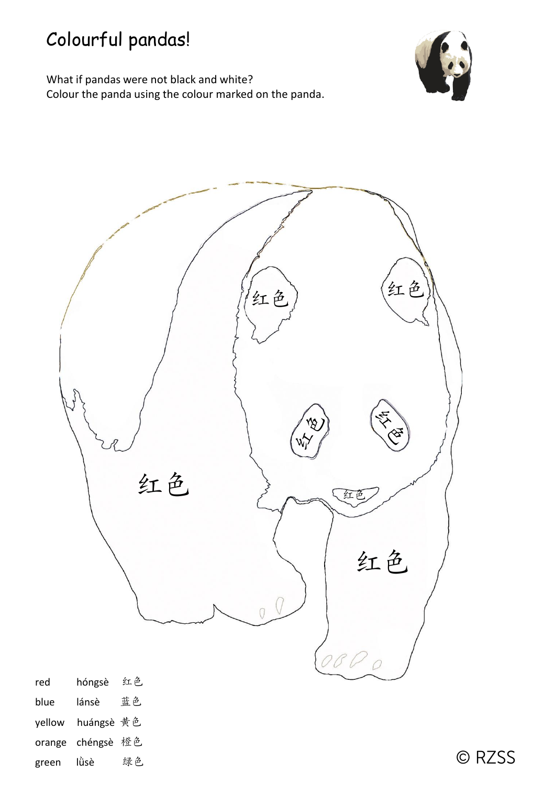

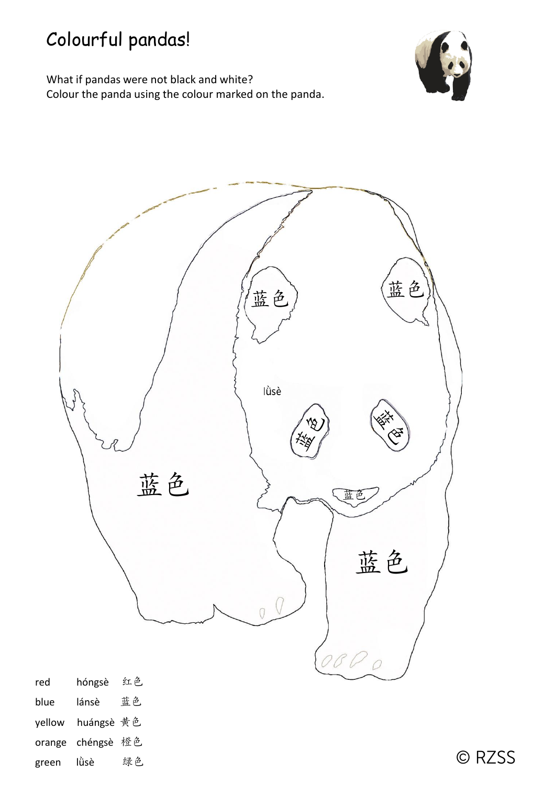



| red    | hóngsè     | 红色 |
|--------|------------|----|
| blue   | lánsè      | 蓝色 |
| yellow | huángsè 黄色 |    |
| orange | chéngsè 橙色 |    |
| green  | lùsè       | 绿色 |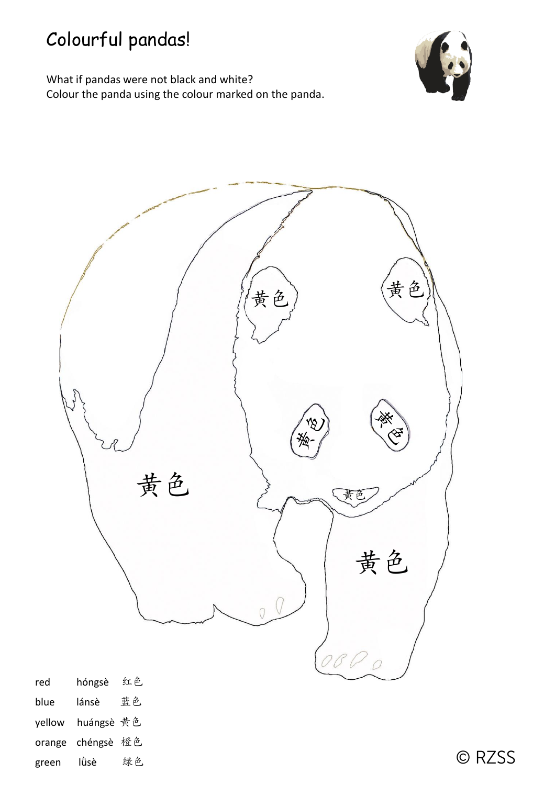



| red    | hóngsè     | 红色 |
|--------|------------|----|
| blue   | lánsè      | 蓝色 |
| yellow | huángsè 黄色 |    |
| orange | chéngsè 橙色 |    |
| green  | Iù̀sè      | 绿色 |

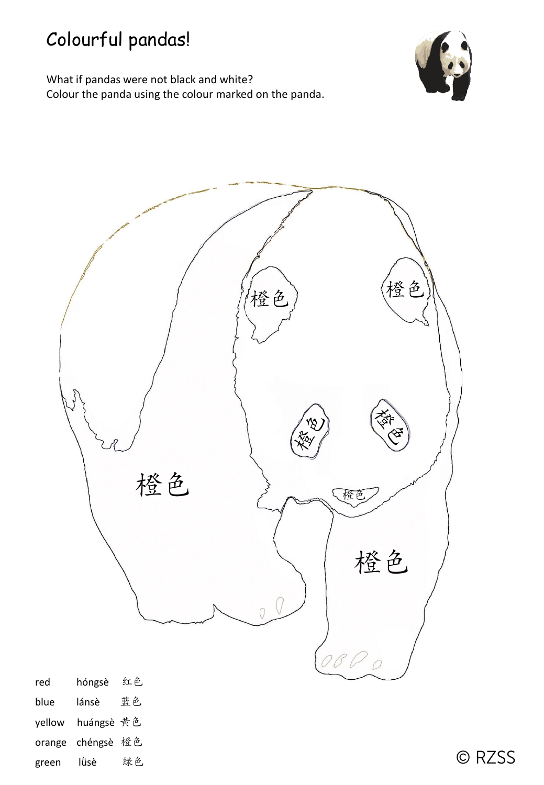

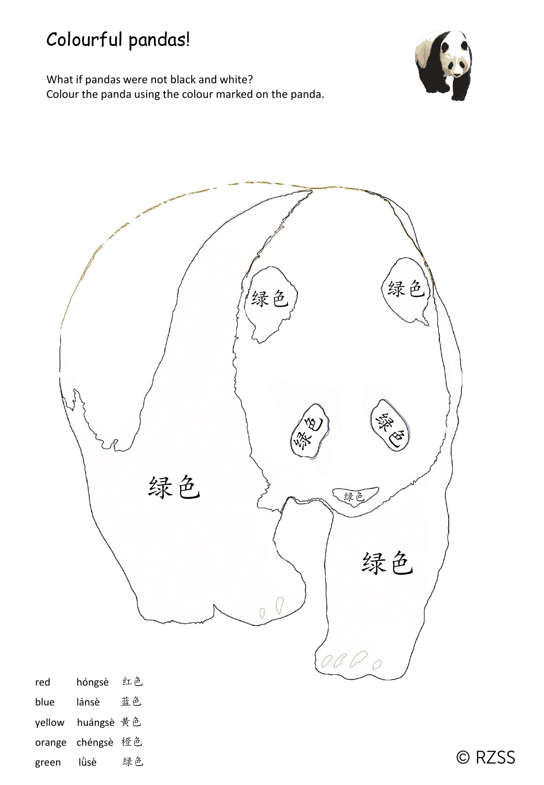What if pandas were not black and white? Colour the panda using the colour marked on the panda.





| red    | nongse     | 红巴 |
|--------|------------|----|
| blue   | lánsè      | 蓝色 |
| yellow | huángsè 黄色 |    |
| orange | chéngsè 橙色 |    |
| green  | Iù̀sè      | 绿色 |

© RZSS